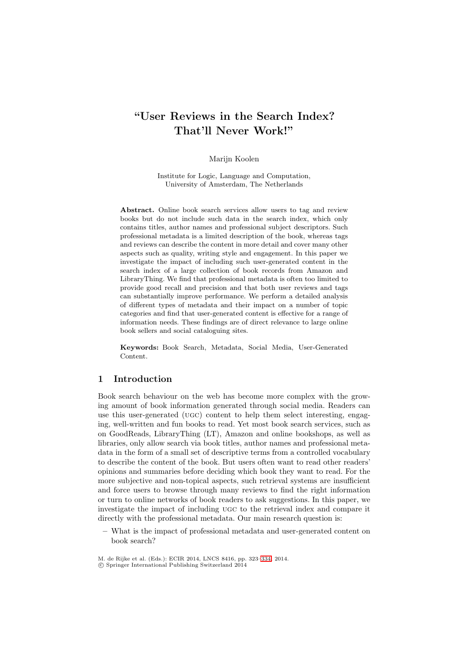# **"User Reviews in the Search Index? That'll Never Work!"**

Marijn Koolen

Institute for Logic, Language and Computation, University of Amsterdam, The Netherlands

**Abstract.** Online book search services allow users to tag and review books but do not include such data in the search index, which only contains titles, author names and professional subject descriptors. Such professional metadata is a limited description of the book, whereas tags and reviews can describe the content in more detail and cover many other aspects such as quality, writing style and engagement. In this paper we investigate the impact of including such user-generated content in the search index of a large collection of book records from Amazon and LibraryThing. We find that professional metadata is often too limited to provide good recall and precision and that both user reviews and tags can substantially improve performance. We perform a detailed analysis of different types of metadata and their impact on a number of topic categories and find that user-generated content is effective for a range of information needs. These findings are of direct relevance to large online book sellers and social cataloguing sites.

**Keywords:** Book Search, Metadata, Social Media, User-Generated Content.

# **1 Introduction**

Book search behaviour on the web has become more complex with the growing amount of book information generated through social media. Readers can use this user-generated (ugc) content to help them select interesting, engaging, well-written and fun books to read. Yet most book search services, such as on GoodReads, LibraryThing (LT), Amazon and online bookshops, as well as libraries, only allow search via book titles, author names and professional metadata in the form of a small set of descriptive terms from a controlled vocabulary to describe the content of the book. But users often want to read other readers' opinions and summaries before deciding which book they want to read. For the more subjective and non-topical aspects, such retrieval systems are insufficient and force users to browse through many reviews to find the right information or turn to online networks of book readers to ask suggestions. In this paper, we investigate the impact of including ugc to the retrieval index and compare it directly with the professional metadata. Our main research question is:

**–** What is the impact of professional metadata and user-generated content on book search?

M. de Rijke et al. (Eds.): ECIR 2014, LNCS 8416, pp. 323[–334,](#page-10-0) 2014.

<sup>-</sup>c Springer International Publishing Switzerland 2014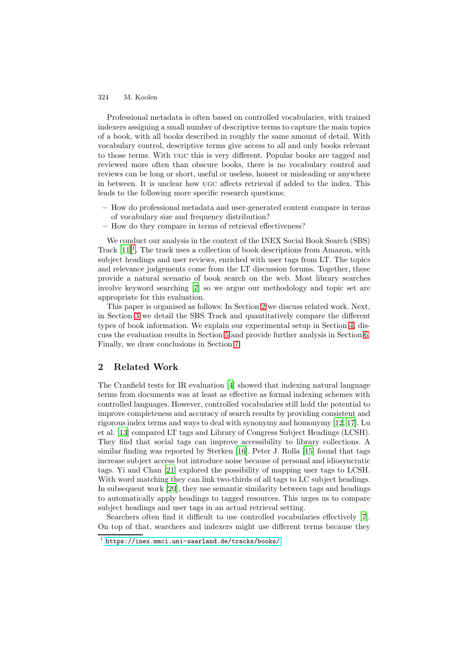Professional metadata is often based on controlled vocabularies, with trained indexers assigning a small number of descriptive terms to capture the main topics of a book, with all books described in roughly the same amount of detail. With vocabulary control, descriptive terms give access to all and only books relevant to those terms. With ugc this is very different. Popular books are tagged and reviewed more often than obscure books, there is no vocabulary control and reviews can be long or short, useful or useless, honest or misleading or anywhere in between. It is unclear how ugc affects retrieval if added to the index. This leads to the following more specific research questions:

- **–** How do professional metadata and user-generated content compare in terms of vocabulary size and frequency distribution?
- **–** How do they compare in terms of retrieval effectiveness?

We conduct our analysis in the context of the INEX Social Book Search (SBS) Track  $[11]$ <sup>[1](#page-1-0)</sup>. The track uses a collection of book descriptions from Amazon, with subject headings and user reviews, enriched with user tags from LT. The topics and relevance judgements come from the LT discussion forums. Together, these provide a natural scenario of book search on the web. Most library searches involve keyword searching [\[7](#page-11-1)] so we argue our methodology and topic set are appropriate for this evaluation.

This paper is organised as follows: In Section [2](#page-1-1) we discuss related work. Next, in Section [3](#page-2-0) we detail the SBS Track and quantitatively compare the different types of book information. We explain our experimental setup in Section [4,](#page-4-0) discuss the evaluation results in Section [5](#page-5-0) and provide further analysis in Section [6.](#page-7-0) Finally, we draw conclusions in Section [7.](#page-9-0)

# <span id="page-1-1"></span>**2 Related Work**

The Cranfield tests for IR evaluation [\[4\]](#page-11-2) showed that indexing natural language terms from documents was at least as effective as formal indexing schemes with controlled languages. However, controlled vocabularies still hold the potential to improve completeness and accuracy of search results by providing consistent and rigorous index terms and ways to deal with synonymy and homonymy [\[12,](#page-11-3) [17\]](#page-11-4). Lu et al. [\[13\]](#page-11-5) compared LT tags and Library of Congress Subject Headings (LCSH). They find that social tags can improve accessibility to library collections. A similar finding was reported by Sterken [\[16\]](#page-11-6). Peter J. Rolla [\[15\]](#page-11-7) found that tags increase subject access but introduce noise because of personal and idiosyncratic tags. Yi and Chan [\[21](#page-11-8)] explored the possibility of mapping user tags to LCSH. With word matching they can link two-thirds of all tags to LC subject headings. In subsequent work [\[20\]](#page-11-9), they use semantic similarity between tags and headings to automatically apply headings to tagged resources. This urges us to compare subject headings and user tags in an actual retrieval setting.

Searchers often find it difficult to use controlled vocabularies effectively [\[7\]](#page-11-1). On top of that, searchers and indexers might use different terms because they

<span id="page-1-0"></span> $^{\rm 1}$ <https://inex.mmci.uni-saarland.de/tracks/books/>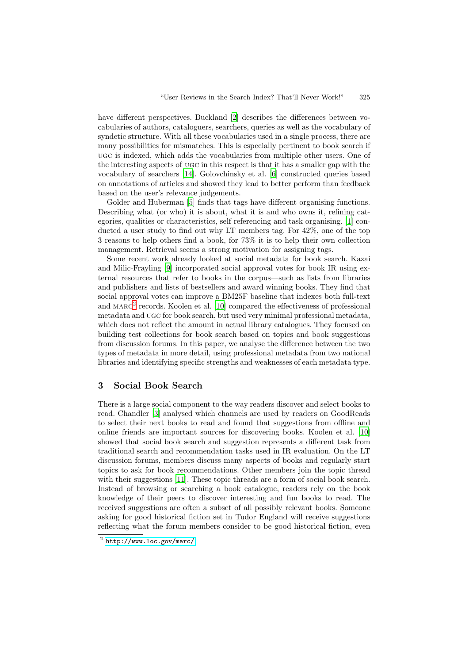have different perspectives. Buckland [\[2](#page-11-10)] describes the differences between vocabularies of authors, cataloguers, searchers, queries as well as the vocabulary of syndetic structure. With all these vocabularies used in a single process, there are many possibilities for mismatches. This is especially pertinent to book search if ugc is indexed, which adds the vocabularies from multiple other users. One of the interesting aspects of ugc in this respect is that it has a smaller gap with the vocabulary of searchers [\[14](#page-11-11)]. Golovchinsky et al. [\[6](#page-11-12)] constructed queries based on annotations of articles and showed they lead to better perform than feedback based on the user's relevance judgements.

Golder and Huberman [\[5\]](#page-11-13) finds that tags have different organising functions. Describing what (or who) it is about, what it is and who owns it, refining categories, qualities or characteristics, self referencing and task organising. [\[1\]](#page-10-1) conducted a user study to find out why LT members tag. For 42%, one of the top 3 reasons to help others find a book, for 73% it is to help their own collection management. Retrieval seems a strong motivation for assigning tags.

Some recent work already looked at social metadata for book search. Kazai and Milic-Frayling [\[9](#page-11-14)] incorporated social approval votes for book IR using external resources that refer to books in the corpus—such as lists from libraries and publishers and lists of bestsellers and award winning books. They find that social approval votes can improve a BM25F baseline that indexes both full-text and MARC<sup>[2](#page-2-1)</sup> records. Koolen et al. [\[10\]](#page-11-15) compared the effectiveness of professional metadata and ugc for book search, but used very minimal professional metadata, which does not reflect the amount in actual library catalogues. They focused on building test collections for book search based on topics and book suggestions from discussion forums. In this paper, we analyse the difference between the two types of metadata in more detail, using professional metadata from two national libraries and identifying specific strengths and weaknesses of each metadata type.

### <span id="page-2-0"></span>**3 Social Book Search**

There is a large social component to the way readers discover and select books to read. Chandler [\[3\]](#page-11-16) analysed which channels are used by readers on GoodReads to select their next books to read and found that suggestions from offline and online friends are important sources for discovering books. Koolen et al. [\[10\]](#page-11-15) showed that social book search and suggestion represents a different task from traditional search and recommendation tasks used in IR evaluation. On the LT discussion forums, members discuss many aspects of books and regularly start topics to ask for book recommendations. Other members join the topic thread with their suggestions [\[11\]](#page-11-0). These topic threads are a form of social book search. Instead of browsing or searching a book catalogue, readers rely on the book knowledge of their peers to discover interesting and fun books to read. The received suggestions are often a subset of all possibly relevant books. Someone asking for good historical fiction set in Tudor England will receive suggestions reflecting what the forum members consider to be good historical fiction, even

<span id="page-2-1"></span> $^{2}$  <http://www.loc.gov/marc/>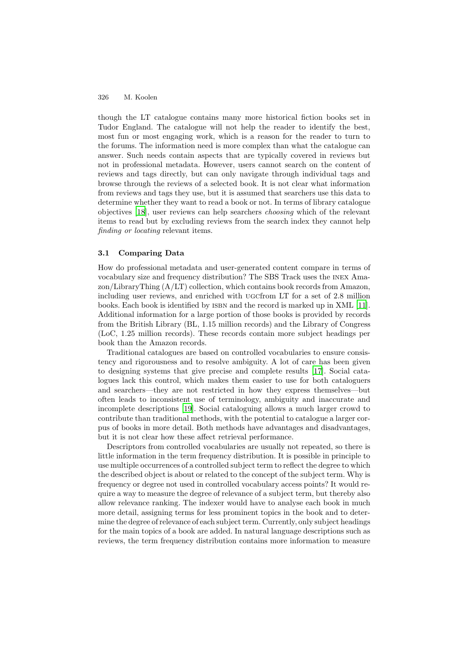though the LT catalogue contains many more historical fiction books set in Tudor England. The catalogue will not help the reader to identify the best, most fun or most engaging work, which is a reason for the reader to turn to the forums. The information need is more complex than what the catalogue can answer. Such needs contain aspects that are typically covered in reviews but not in professional metadata. However, users cannot search on the content of reviews and tags directly, but can only navigate through individual tags and browse through the reviews of a selected book. It is not clear what information from reviews and tags they use, but it is assumed that searchers use this data to determine whether they want to read a book or not. In terms of library catalogue objectives [\[18](#page-11-17)], user reviews can help searchers *choosing* which of the relevant items to read but by excluding reviews from the search index they cannot help *finding or locating* relevant items.

### **3.1 Comparing Data**

How do professional metadata and user-generated content compare in terms of vocabulary size and frequency distribution? The SBS Track uses the inex Amazon/LibraryThing (A/LT) collection, which contains book records from Amazon, including user reviews, and enriched with ugcfrom LT for a set of 2.8 million books. Each book is identified by ISBN and the record is marked up in XML [\[11\]](#page-11-0). Additional information for a large portion of those books is provided by records from the British Library (BL, 1.15 million records) and the Library of Congress (LoC, 1.25 million records). These records contain more subject headings per book than the Amazon records.

Traditional catalogues are based on controlled vocabularies to ensure consistency and rigorousness and to resolve ambiguity. A lot of care has been given to designing systems that give precise and complete results [\[17](#page-11-4)]. Social catalogues lack this control, which makes them easier to use for both cataloguers and searchers—they are not restricted in how they express themselves—but often leads to inconsistent use of terminology, ambiguity and inaccurate and incomplete descriptions [\[19\]](#page-11-18). Social cataloguing allows a much larger crowd to contribute than traditional methods, with the potential to catalogue a larger corpus of books in more detail. Both methods have advantages and disadvantages, but it is not clear how these affect retrieval performance.

Descriptors from controlled vocabularies are usually not repeated, so there is little information in the term frequency distribution. It is possible in principle to use multiple occurrences of a controlled subject term to reflect the degree to which the described object is about or related to the concept of the subject term. Why is frequency or degree not used in controlled vocabulary access points? It would require a way to measure the degree of relevance of a subject term, but thereby also allow relevance ranking. The indexer would have to analyse each book in much more detail, assigning terms for less prominent topics in the book and to determine the degree of relevance of each subject term. Currently, only subject headings for the main topics of a book are added. In natural language descriptions such as reviews, the term frequency distribution contains more information to measure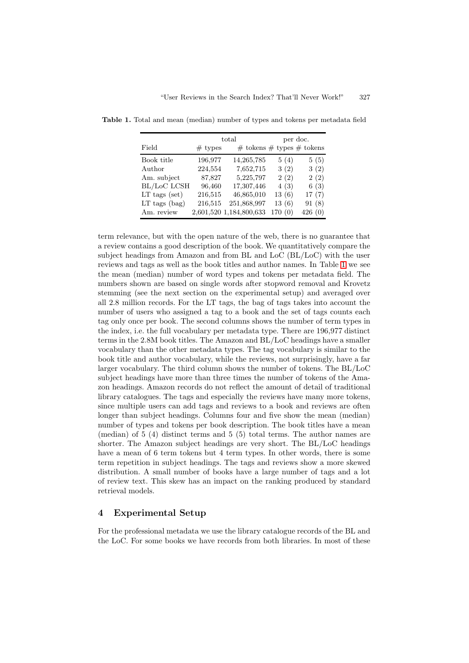<span id="page-4-1"></span>

|                 |           | total                              | per doc. |        |  |
|-----------------|-----------|------------------------------------|----------|--------|--|
| Field           | $#$ types | $\#$ tokens $\#$ types $\#$ tokens |          |        |  |
| Book title      | 196,977   | 14,265,785                         | 5(4)     | 5(5)   |  |
| Author          | 224,554   | 7,652,715                          | 3(2)     | 3(2)   |  |
| Am. subject     | 87,827    | 5,225,797                          | 2(2)     | 2(2)   |  |
| BL/LoC LCSH     | 96,460    | 17,307,446                         | 4(3)     | 6(3)   |  |
| $LT$ tags (set) | 216,515   | 46,865,010                         | 13(6)    | 17(7)  |  |
| $LT$ tags (bag) | 216,515   | 251,868,997                        | 13(6)    | 91(8)  |  |
| Am. review      |           | 2,601,520 1,184,800,633            | 170(0)   | 426(0) |  |

**Table 1.** Total and mean (median) number of types and tokens per metadata field

term relevance, but with the open nature of the web, there is no guarantee that a review contains a good description of the book. We quantitatively compare the subject headings from Amazon and from BL and LoC (BL/LoC) with the user reviews and tags as well as the book titles and author names. In Table [1](#page-4-1) we see the mean (median) number of word types and tokens per metadata field. The numbers shown are based on single words after stopword removal and Krovetz stemming (see the next section on the experimental setup) and averaged over all 2.8 million records. For the LT tags, the bag of tags takes into account the number of users who assigned a tag to a book and the set of tags counts each tag only once per book. The second columns shows the number of term types in the index, i.e. the full vocabulary per metadata type. There are 196,977 distinct terms in the 2.8M book titles. The Amazon and BL/LoC headings have a smaller vocabulary than the other metadata types. The tag vocabulary is similar to the book title and author vocabulary, while the reviews, not surprisingly, have a far larger vocabulary. The third column shows the number of tokens. The BL/LoC subject headings have more than three times the number of tokens of the Amazon headings. Amazon records do not reflect the amount of detail of traditional library catalogues. The tags and especially the reviews have many more tokens, since multiple users can add tags and reviews to a book and reviews are often longer than subject headings. Columns four and five show the mean (median) number of types and tokens per book description. The book titles have a mean (median) of 5 (4) distinct terms and 5 (5) total terms. The author names are shorter. The Amazon subject headings are very short. The BL/LoC headings have a mean of 6 term tokens but 4 term types. In other words, there is some term repetition in subject headings. The tags and reviews show a more skewed distribution. A small number of books have a large number of tags and a lot of review text. This skew has an impact on the ranking produced by standard retrieval models.

## <span id="page-4-0"></span>**4 Experimental Setup**

For the professional metadata we use the library catalogue records of the BL and the LoC. For some books we have records from both libraries. In most of these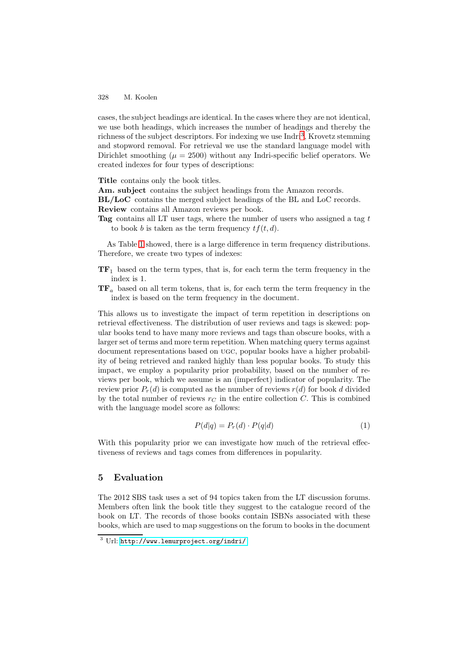cases, the subject headings are identical. In the cases where they are not identical, we use both headings, which increases the number of headings and thereby the richness of the subject descriptors. For indexing we use Indri<sup>[3](#page-5-1)</sup>, Krovetz stemming and stopword removal. For retrieval we use the standard language model with Dirichlet smoothing  $(\mu = 2500)$  without any Indri-specific belief operators. We created indexes for four types of descriptions:

**Title** contains only the book titles.

**Am. subject** contains the subject headings from the Amazon records.

**BL/LoC** contains the merged subject headings of the BL and LoC records.

**Review** contains all Amazon reviews per book.

**Tag** contains all LT user tags, where the number of users who assigned a tag t to book b is taken as the term frequency  $tf(t, d)$ .

As Table [1](#page-4-1) showed, there is a large difference in term frequency distributions. Therefore, we create two types of indexes:

**TF**<sup>1</sup> based on the term types, that is, for each term the term frequency in the index is 1.

**TF***<sup>a</sup>* based on all term tokens, that is, for each term the term frequency in the index is based on the term frequency in the document.

This allows us to investigate the impact of term repetition in descriptions on retrieval effectiveness. The distribution of user reviews and tags is skewed: popular books tend to have many more reviews and tags than obscure books, with a larger set of terms and more term repetition. When matching query terms against document representations based on ugc, popular books have a higher probability of being retrieved and ranked highly than less popular books. To study this impact, we employ a popularity prior probability, based on the number of reviews per book, which we assume is an (imperfect) indicator of popularity. The review prior  $P_r(d)$  is computed as the number of reviews  $r(d)$  for book d divided by the total number of reviews  $r<sub>C</sub>$  in the entire collection C. This is combined with the language model score as follows:

$$
P(d|q) = P_r(d) \cdot P(q|d)
$$
\n(1)

With this popularity prior we can investigate how much of the retrieval effectiveness of reviews and tags comes from differences in popularity.

# <span id="page-5-0"></span>**5 Evaluation**

The 2012 SBS task uses a set of 94 topics taken from the LT discussion forums. Members often link the book title they suggest to the catalogue record of the book on LT. The records of those books contain ISBNs associated with these books, which are used to map suggestions on the forum to books in the document

<span id="page-5-1"></span><sup>3</sup> Url: <http://www.lemurproject.org/indri/>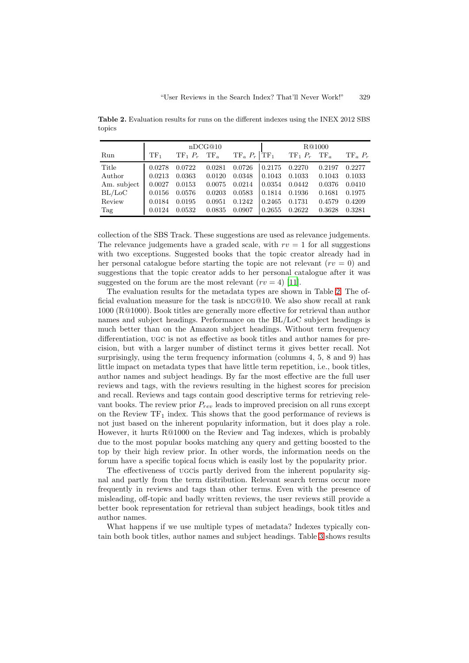|             |                 |                 | nDCG@10 |                     |        |                 | R@1000 |            |
|-------------|-----------------|-----------------|---------|---------------------|--------|-----------------|--------|------------|
| Run         | TF <sub>1</sub> | $TF_1 P_r TF_a$ |         | $TF_a$ $P_r$ $TF_1$ |        | $TF_1 P_r TF_a$ |        | $TF_a P_r$ |
| Title       | 0.0278          | 0.0722          | 0.0281  | 0.0726              | 0.2175 | 0.2270          | 0.2197 | 0.2277     |
| Author      | 0.0213          | 0.0363          | 0.0120  | 0.0348              | 0.1043 | 0.1033          | 0.1043 | 0.1033     |
| Am. subject | 0.0027          | 0.0153          | 0.0075  | 0.0214              | 0.0354 | 0.0442          | 0.0376 | 0.0410     |
| BL/LoC      | 0.0156          | 0.0576          | 0.0203  | 0.0583              | 0.1814 | 0.1936          | 0.1681 | 0.1975     |
| Review      | 0.0184          | 0.0195          | 0.0951  | 0.1242              | 0.2465 | 0.1731          | 0.4579 | 0.4209     |
| Tag         | 0.0124          | 0.0532          | 0.0835  | 0.0907              | 0.2655 | 0.2622          | 0.3628 | 0.3281     |

<span id="page-6-0"></span>**Table 2.** Evaluation results for runs on the different indexes using the INEX 2012 SBS topics

collection of the SBS Track. These suggestions are used as relevance judgements. The relevance judgements have a graded scale, with  $rv = 1$  for all suggestions with two exceptions. Suggested books that the topic creator already had in her personal catalogue before starting the topic are not relevant  $(rv = 0)$  and suggestions that the topic creator adds to her personal catalogue after it was suggested on the forum are the most relevant  $(rv = 4)$  [\[11](#page-11-0)].

The evaluation results for the metadata types are shown in Table [2.](#page-6-0) The official evaluation measure for the task is  $nDCG@10$ . We also show recall at rank 1000 (R@1000). Book titles are generally more effective for retrieval than author names and subject headings. Performance on the BL/LoC subject headings is much better than on the Amazon subject headings. Without term frequency differentiation, ugc is not as effective as book titles and author names for precision, but with a larger number of distinct terms it gives better recall. Not surprisingly, using the term frequency information (columns 4, 5, 8 and 9) has little impact on metadata types that have little term repetition, i.e., book titles, author names and subject headings. By far the most effective are the full user reviews and tags, with the reviews resulting in the highest scores for precision and recall. Reviews and tags contain good descriptive terms for retrieving relevant books. The review prior P*rev* leads to improved precision on all runs except on the Review  $TF_1$  index. This shows that the good performance of reviews is not just based on the inherent popularity information, but it does play a role. However, it hurts R@1000 on the Review and Tag indexes, which is probably due to the most popular books matching any query and getting boosted to the top by their high review prior. In other words, the information needs on the forum have a specific topical focus which is easily lost by the popularity prior.

The effectiveness of ugcis partly derived from the inherent popularity signal and partly from the term distribution. Relevant search terms occur more frequently in reviews and tags than other terms. Even with the presence of misleading, off-topic and badly written reviews, the user reviews still provide a better book representation for retrieval than subject headings, book titles and author names.

What happens if we use multiple types of metadata? Indexes typically contain both book titles, author names and subject headings. Table [3](#page-7-1) shows results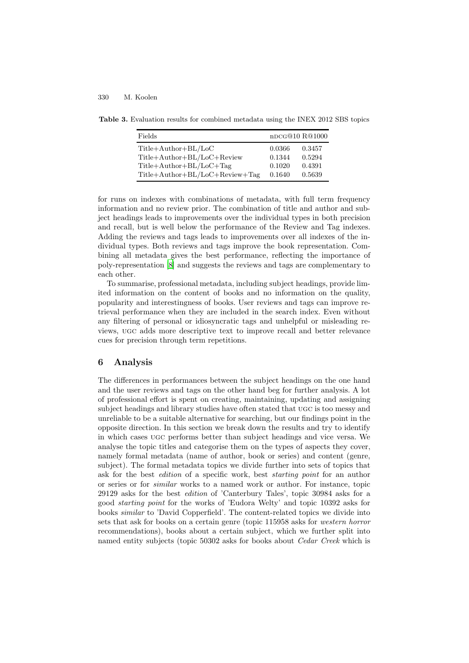<span id="page-7-1"></span>

| Fields                           |        | $nDCG@10$ R@1000 |
|----------------------------------|--------|------------------|
| $Title + Author + BL/LoC$        | 0.0366 | 0.3457           |
| Title+Author+BL/LoC+Review       | 0.1344 | 0.5294           |
| $Title + Author + BL/LoC + Tag$  | 0.1020 | 0.4391           |
| $Title+Author+BL/LoC+Review+Tag$ | 0.1640 | 0.5639           |

**Table 3.** Evaluation results for combined metadata using the INEX 2012 SBS topics

for runs on indexes with combinations of metadata, with full term frequency information and no review prior. The combination of title and author and subject headings leads to improvements over the individual types in both precision and recall, but is well below the performance of the Review and Tag indexes. Adding the reviews and tags leads to improvements over all indexes of the individual types. Both reviews and tags improve the book representation. Combining all metadata gives the best performance, reflecting the importance of poly-representation [\[8](#page-11-19)] and suggests the reviews and tags are complementary to each other.

To summarise, professional metadata, including subject headings, provide limited information on the content of books and no information on the quality, popularity and interestingness of books. User reviews and tags can improve retrieval performance when they are included in the search index. Even without any filtering of personal or idiosyncratic tags and unhelpful or misleading reviews, ugc adds more descriptive text to improve recall and better relevance cues for precision through term repetitions.

### <span id="page-7-0"></span>**6 Analysis**

The differences in performances between the subject headings on the one hand and the user reviews and tags on the other hand beg for further analysis. A lot of professional effort is spent on creating, maintaining, updating and assigning subject headings and library studies have often stated that ugc is too messy and unreliable to be a suitable alternative for searching, but our findings point in the opposite direction. In this section we break down the results and try to identify in which cases ugc performs better than subject headings and vice versa. We analyse the topic titles and categorise them on the types of aspects they cover, namely formal metadata (name of author, book or series) and content (genre, subject). The formal metadata topics we divide further into sets of topics that ask for the best *edition* of a specific work, best *starting point* for an author or series or for *similar* works to a named work or author. For instance, topic 29129 asks for the best *edition* of 'Canterbury Tales', topic 30984 asks for a good *starting point* for the works of 'Eudora Welty' and topic 10392 asks for books *similar* to 'David Copperfield'. The content-related topics we divide into sets that ask for books on a certain genre (topic 115958 asks for *western horror* recommendations), books about a certain subject, which we further split into named entity subjects (topic 50302 asks for books about *Cedar Creek* which is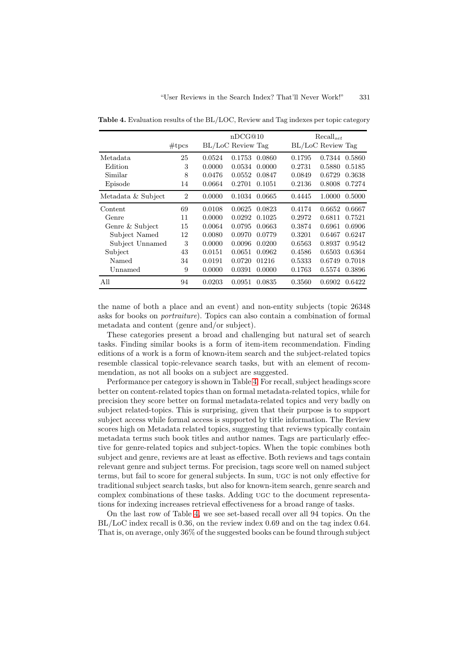<span id="page-8-0"></span>

|                    |                 |        | nDCG@10           |        |                   | $Recall_{set}$ |        |
|--------------------|-----------------|--------|-------------------|--------|-------------------|----------------|--------|
|                    | $#t \text{pcs}$ |        | BL/LoC Review Tag |        | BL/LoC Review Tag |                |        |
| Metadata           | 25              | 0.0524 | 0.1753            | 0.0860 | 0.1795            | 0.7344         | 0.5860 |
| Edition            | 3               | 0.0000 | 0.0534            | 0.0000 | 0.2731            | 0.5880         | 0.5185 |
| Similar            | 8               | 0.0476 | 0.0552            | 0.0847 | 0.0849            | 0.6729         | 0.3638 |
| Episode            | 14              | 0.0664 | 0.2701            | 0.1051 | 0.2136            | 0.8008         | 0.7274 |
| Metadata & Subject | $\overline{2}$  | 0.0000 | 0.1034            | 0.0665 | 0.4445            | 1.0000         | 0.5000 |
| Content            | 69              | 0.0108 | 0.0625            | 0.0823 | 0.4174            | 0.6652         | 0.6667 |
| Genre              | 11              | 0.0000 | 0.0292            | 0.1025 | 0.2972            | 0.6811         | 0.7521 |
| Genre & Subject    | 15              | 0.0064 | 0.0795            | 0.0663 | 0.3874            | 0.6961         | 0.6906 |
| Subject Named      | 12              | 0.0080 | 0.0970            | 0.0779 | 0.3201            | 0.6467         | 0.6247 |
| Subject Unnamed    | 3               | 0.0000 | 0.0096            | 0.0200 | 0.6563            | 0.8937         | 0.9542 |
| Subject            | 43              | 0.0151 | 0.0651            | 0.0962 | 0.4586            | 0.6503         | 0.6364 |
| Named              | 34              | 0.0191 | 0.0720            | 01216  | 0.5333            | 0.6749         | 0.7018 |
| Unnamed            | 9               | 0.0000 | 0.0391            | 0.0000 | 0.1763            | 0.5574         | 0.3896 |
| All                | 94              | 0.0203 | 0.0951            | 0.0835 | 0.3560            | 0.6902         | 0.6422 |

**Table 4.** Evaluation results of the BL/LOC, Review and Tag indexes per topic category

the name of both a place and an event) and non-entity subjects (topic 26348 asks for books on *portraiture*). Topics can also contain a combination of formal metadata and content (genre and/or subject).

These categories present a broad and challenging but natural set of search tasks. Finding similar books is a form of item-item recommendation. Finding editions of a work is a form of known-item search and the subject-related topics resemble classical topic-relevance search tasks, but with an element of recommendation, as not all books on a subject are suggested.

Performance per category is shown in Table [4.](#page-8-0) For recall, subject headings score better on content-related topics than on formal metadata-related topics, while for precision they score better on formal metadata-related topics and very badly on subject related-topics. This is surprising, given that their purpose is to support subject access while formal access is supported by title information. The Review scores high on Metadata related topics, suggesting that reviews typically contain metadata terms such book titles and author names. Tags are particularly effective for genre-related topics and subject-topics. When the topic combines both subject and genre, reviews are at least as effective. Both reviews and tags contain relevant genre and subject terms. For precision, tags score well on named subject terms, but fail to score for general subjects. In sum, ugc is not only effective for traditional subject search tasks, but also for known-item search, genre search and complex combinations of these tasks. Adding ugc to the document representations for indexing increases retrieval effectiveness for a broad range of tasks.

On the last row of Table [4,](#page-8-0) we see set-based recall over all 94 topics. On the BL/LoC index recall is 0.36, on the review index 0.69 and on the tag index 0.64. That is, on average, only 36% of the suggested books can be found through subject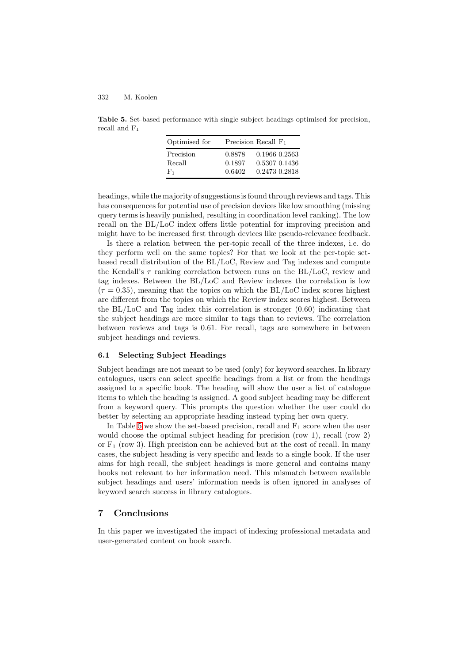<span id="page-9-1"></span>**Table 5.** Set-based performance with single subject headings optimised for precision, recall and F<sup>1</sup>

| Optimised for       |                  | Precision Recall $F_1$         |
|---------------------|------------------|--------------------------------|
| Precision<br>Recall | 0.8878<br>0.1897 | 0.1966 0.2563<br>0.5307 0.1436 |
| $F_1$               | 0.6402           | 0.2473 0.2818                  |

headings, while the majority of suggestions is found through reviews and tags. This has consequences for potential use of precision devices like low smoothing (missing query terms is heavily punished, resulting in coordination level ranking). The low recall on the BL/LoC index offers little potential for improving precision and might have to be increased first through devices like pseudo-relevance feedback.

Is there a relation between the per-topic recall of the three indexes, i.e. do they perform well on the same topics? For that we look at the per-topic setbased recall distribution of the BL/LoC, Review and Tag indexes and compute the Kendall's  $\tau$  ranking correlation between runs on the BL/LoC, review and tag indexes. Between the BL/LoC and Review indexes the correlation is low  $(\tau = 0.35)$ , meaning that the topics on which the BL/LoC index scores highest are different from the topics on which the Review index scores highest. Between the  $BL/LoC$  and Tag index this correlation is stronger  $(0.60)$  indicating that the subject headings are more similar to tags than to reviews. The correlation between reviews and tags is 0.61. For recall, tags are somewhere in between subject headings and reviews.

#### **6.1 Selecting Subject Headings**

Subject headings are not meant to be used (only) for keyword searches. In library catalogues, users can select specific headings from a list or from the headings assigned to a specific book. The heading will show the user a list of catalogue items to which the heading is assigned. A good subject heading may be different from a keyword query. This prompts the question whether the user could do better by selecting an appropriate heading instead typing her own query.

In Table [5](#page-9-1) we show the set-based precision, recall and  $F_1$  score when the user would choose the optimal subject heading for precision (row 1), recall (row 2) or  $F_1$  (row 3). High precision can be achieved but at the cost of recall. In many cases, the subject heading is very specific and leads to a single book. If the user aims for high recall, the subject headings is more general and contains many books not relevant to her information need. This mismatch between available subject headings and users' information needs is often ignored in analyses of keyword search success in library catalogues.

# <span id="page-9-0"></span>**7 Conclusions**

In this paper we investigated the impact of indexing professional metadata and user-generated content on book search.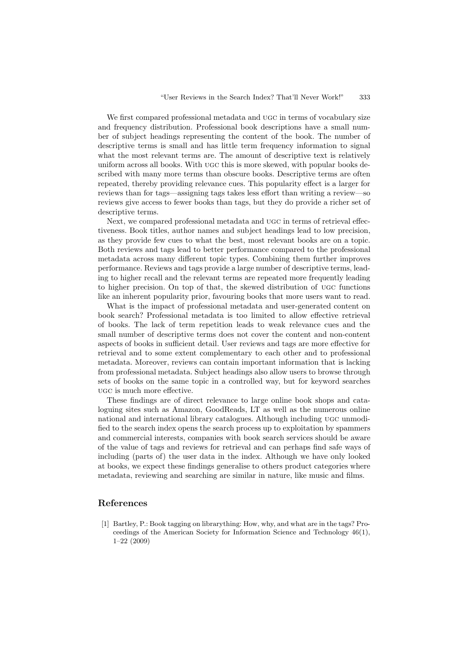We first compared professional metadata and UGC in terms of vocabulary size and frequency distribution. Professional book descriptions have a small number of subject headings representing the content of the book. The number of descriptive terms is small and has little term frequency information to signal what the most relevant terms are. The amount of descriptive text is relatively uniform across all books. With ugc this is more skewed, with popular books described with many more terms than obscure books. Descriptive terms are often repeated, thereby providing relevance cues. This popularity effect is a larger for reviews than for tags—assigning tags takes less effort than writing a review—so reviews give access to fewer books than tags, but they do provide a richer set of descriptive terms.

Next, we compared professional metadata and ugc in terms of retrieval effectiveness. Book titles, author names and subject headings lead to low precision, as they provide few cues to what the best, most relevant books are on a topic. Both reviews and tags lead to better performance compared to the professional metadata across many different topic types. Combining them further improves performance. Reviews and tags provide a large number of descriptive terms, leading to higher recall and the relevant terms are repeated more frequently leading to higher precision. On top of that, the skewed distribution of ugc functions like an inherent popularity prior, favouring books that more users want to read.

What is the impact of professional metadata and user-generated content on book search? Professional metadata is too limited to allow effective retrieval of books. The lack of term repetition leads to weak relevance cues and the small number of descriptive terms does not cover the content and non-content aspects of books in sufficient detail. User reviews and tags are more effective for retrieval and to some extent complementary to each other and to professional metadata. Moreover, reviews can contain important information that is lacking from professional metadata. Subject headings also allow users to browse through sets of books on the same topic in a controlled way, but for keyword searches ugc is much more effective.

These findings are of direct relevance to large online book shops and cataloguing sites such as Amazon, GoodReads, LT as well as the numerous online national and international library catalogues. Although including ugc unmodified to the search index opens the search process up to exploitation by spammers and commercial interests, companies with book search services should be aware of the value of tags and reviews for retrieval and can perhaps find safe ways of including (parts of) the user data in the index. Although we have only looked at books, we expect these findings generalise to others product categories where metadata, reviewing and searching are similar in nature, like music and films.

### <span id="page-10-0"></span>**References**

<span id="page-10-1"></span>[1] Bartley, P.: Book tagging on librarything: How, why, and what are in the tags? Proceedings of the American Society for Information Science and Technology 46(1), 1–22 (2009)